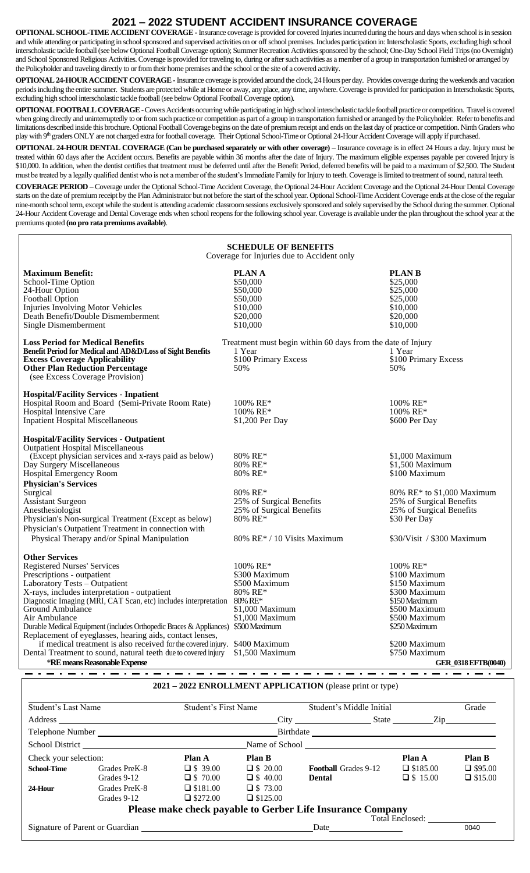## **2021 – 2022 STUDENT ACCIDENT INSURANCE COVERAGE**

**OPTIONAL SCHOOL-TIME ACCIDENT COVERAGE -**Insurance coverage is provided for covered Injuries incurred during the hours and days when school is in session and while attending or participating in school sponsored and supervised activities on or off school premises. Includes participation in: Interscholastic Sports, excluding high school interscholastic tackle football (see below Optional Football Coverage option); Summer Recreation Activities sponsored by the school; One-Day School Field Trips (no Overnight) and School Sponsored Religious Activities. Coverage is provided for traveling to, during or after such activities as a member of a group in transportation furnished or arranged by the Policyholder and traveling directly to or from their home premises and the school or the site of a covered activity.

**OPTIONAL 24-HOUR ACCIDENT COVERAGE -**Insurance coverage is provided around the clock, 24 Hours per day. Provides coverage during the weekends and vacation periods including the entire summer. Students are protected while at Home or away, any place, any time, anywhere. Coverage is provided for participation in Interscholastic Sports, excluding high school interscholastic tackle football (see below Optional Football Coverage option).

**OPTIONAL FOOTBALL COVERAGE -**Covers Accidents occurring while participating in high school interscholastic tackle football practice or competition. Travel is covered when going directly and uninterruptedly to or from such practice or competition as part of a group in transportation furnished or arranged by the Policyholder. Refer to benefits and limitations described inside this brochure. Optional Football Coverage begins on the date of premium receipt and ends on the last day of practice or competition. Ninth Graders who play with 9<sup>th</sup> graders ONLY are not charged extra for football coverage. Their Optional School-Time or Optional 24-Hour Accident Coverage will apply if purchased.

**OPTIONAL 24-HOUR DENTAL COVERAGE (Can be purchased separately or with other coverage) –** Insurance coverage is in effect 24 Hours a day. Injury must be treated within 60 days after the Accident occurs. Benefits are payable within 36 months after the date of Injury. The maximum eligible expenses payable per covered Injury is \$10,000. In addition, when the dentist certifies that treatment must be deferred until after the Benefit Period, deferred benefits will be paid to a maximum of \$2,500. The Student must be treated by a legally qualified dentist who is not a member of the student's Immediate Family for Injury to teeth. Coverage is limited to treatment of sound, natural teeth.

**COVERAGE PERIOD –** Coverage under the Optional School-Time Accident Coverage, the Optional 24-Hour Accident Coverage and the Optional 24-Hour Dental Coverage starts on the date of premium receipt by the Plan Administrator but not before the start of the school year. Optional School-Time Accident Coverage ends at the close of the regular nine-month school term, except while the student is attending academic classroom sessions exclusively sponsored and solely supervised by the School during the summer. Optional 24-Hour Accident Coverage and Dental Coverage ends when school reopens for the following school year. Coverage is available under the plan throughout the school year at the premiums quoted **(no pro rata premiums available)**.

| <b>SCHEDULE OF BENEFITS</b><br>Coverage for Injuries due to Accident only                                                                                                                                                                                                                                                                                                                                                                                                                                                                                                                                            |                                                                                                                                                           |                                                                                                                                                                                                 |  |  |  |
|----------------------------------------------------------------------------------------------------------------------------------------------------------------------------------------------------------------------------------------------------------------------------------------------------------------------------------------------------------------------------------------------------------------------------------------------------------------------------------------------------------------------------------------------------------------------------------------------------------------------|-----------------------------------------------------------------------------------------------------------------------------------------------------------|-------------------------------------------------------------------------------------------------------------------------------------------------------------------------------------------------|--|--|--|
| <b>Maximum Benefit:</b><br>School-Time Option<br>24-Hour Option<br>Football Option<br>Injuries Involving Motor Vehicles<br>Death Benefit/Double Dismemberment<br>Single Dismemberment                                                                                                                                                                                                                                                                                                                                                                                                                                | <b>PLANA</b><br>\$50,000<br>\$50,000<br>\$50,000<br>\$10,000<br>\$20,000<br>\$10,000                                                                      | <b>PLAN B</b><br>\$25,000<br>\$25,000<br>\$25,000<br>\$10,000<br>\$20,000<br>\$10,000                                                                                                           |  |  |  |
| <b>Loss Period for Medical Benefits</b><br>Benefit Period for Medical and AD&D/Loss of Sight Benefits<br><b>Excess Coverage Applicability</b><br><b>Other Plan Reduction Percentage</b><br>(see Excess Coverage Provision)                                                                                                                                                                                                                                                                                                                                                                                           | Treatment must begin within 60 days from the date of Injury<br>1 Year<br>\$100 Primary Excess<br>50%                                                      | 1 Year<br>\$100 Primary Excess<br>50%                                                                                                                                                           |  |  |  |
| <b>Hospital/Facility Services - Inpatient</b><br>Hospital Room and Board (Semi-Private Room Rate)<br>Hospital Intensive Care<br>Inpatient Hospital Miscellaneous                                                                                                                                                                                                                                                                                                                                                                                                                                                     | $100\%$ RE*<br>100% RE*<br>\$1,200 Per Day                                                                                                                | 100% RE*<br>100% RE*<br>\$600 Per Day                                                                                                                                                           |  |  |  |
| <b>Hospital/Facility Services - Outpatient</b><br>Outpatient Hospital Miscellaneous<br>(Except physician services and x-rays paid as below)<br>Day Surgery Miscellaneous<br>Hospital Emergency Room<br><b>Physician's Services</b><br>Surgical<br>Assistant Surgeon<br>Anesthesiologist<br>Physician's Non-surgical Treatment (Except as below)<br>Physician's Outpatient Treatment in connection with<br>Physical Therapy and/or Spinal Manipulation                                                                                                                                                                | 80% RE*<br>80% RE*<br>80% RE*<br>80% RE*<br>25% of Surgical Benefits<br>25% of Surgical Benefits<br>80% RE*<br>$80\%$ RE <sup>*</sup> / 10 Visits Maximum | \$1,000 Maximum<br>$$1.500$ Maximum<br>\$100 Maximum<br>80% RE* to \$1,000 Maximum<br>25% of Surgical Benefits<br>25% of Surgical Benefits<br>\$30 Per Day<br>\$30/Visit / \$300 Maximum        |  |  |  |
| <b>Other Services</b><br><b>Registered Nurses' Services</b><br>Prescriptions - outpatient<br>Laboratory Tests - Outpatient<br>X-rays, includes interpretation - outpatient<br>Diagnostic Imaging (MRI, CAT Scan, etc) includes interpretation<br>Ground Ambulance<br>Air Ambulance<br>Durable Medical Equipment (includes Orthopedic Braces & Appliances) \$500 Maximum<br>Replacement of eyeglasses, hearing aids, contact lenses,<br>if medical treatment is also received for the covered injury. \$400 Maximum<br>Dental Treatment to sound, natural teeth due to covered injury<br>*RE means Reasonable Expense | $100\%$ RE*<br>\$300 Maximum<br>\$500 Maximum<br>80% RE*<br>80% RE*<br>\$1,000 Maximum<br>\$1,000 Maximum<br>\$1,500 Maximum                              | 100% RE*<br>\$100 Maximum<br>\$150 Maximum<br>\$300 Maximum<br>\$150 Maximum<br>\$500 Maximum<br>\$500 Maximum<br>\$250 Maximum<br>\$200 Maximum<br>\$750 Maximum<br><b>GER 0318 EFTB(0040)</b> |  |  |  |

## **2021 – 2022 ENROLLMENT APPLICATION** (please print or type)

| Student's Last Name                     |                 | <b>Student's First Name</b> |                        | Student's Middle Initial                                   |                 | Grade          |  |  |
|-----------------------------------------|-----------------|-----------------------------|------------------------|------------------------------------------------------------|-----------------|----------------|--|--|
| Address                                 |                 |                             |                        | $City \quad \qquad \qquad \qquad$<br>State                 | Zip             |                |  |  |
|                                         |                 |                             |                        |                                                            |                 |                |  |  |
|                                         | School District |                             | Name of School         |                                                            |                 |                |  |  |
| Check your selection:                   |                 | Plan A                      | Plan B                 |                                                            | Plan A          | <b>Plan B</b>  |  |  |
| <b>School-Time</b>                      | Grades PreK-8   | $\Box$ \$ 39.00             | $\Box$ \$ 20.00        | <b>Football Grades 9-12</b>                                | $\Box$ \$185.00 | $\Box$ \$95.00 |  |  |
|                                         | Grades 9-12     | $\Box$ \$ 70.00             | $\Box$ \$ 40.00        | <b>Dental</b>                                              | $\Box$ \$ 15.00 | $\Box$ \$15.00 |  |  |
| 24-Hour                                 | Grades PreK-8   | $\Box$ \$181.00             | $\Box$ \$ 73.00        |                                                            |                 |                |  |  |
|                                         | Grades 9-12     | $\Box$ \$272.00             | $\Box$ \$125.00        |                                                            |                 |                |  |  |
|                                         |                 |                             |                        | Please make check payable to Gerber Life Insurance Company |                 |                |  |  |
|                                         |                 |                             | <b>Total Enclosed:</b> |                                                            |                 |                |  |  |
| Signature of Parent or Guardian<br>Date |                 |                             |                        | 0040                                                       |                 |                |  |  |